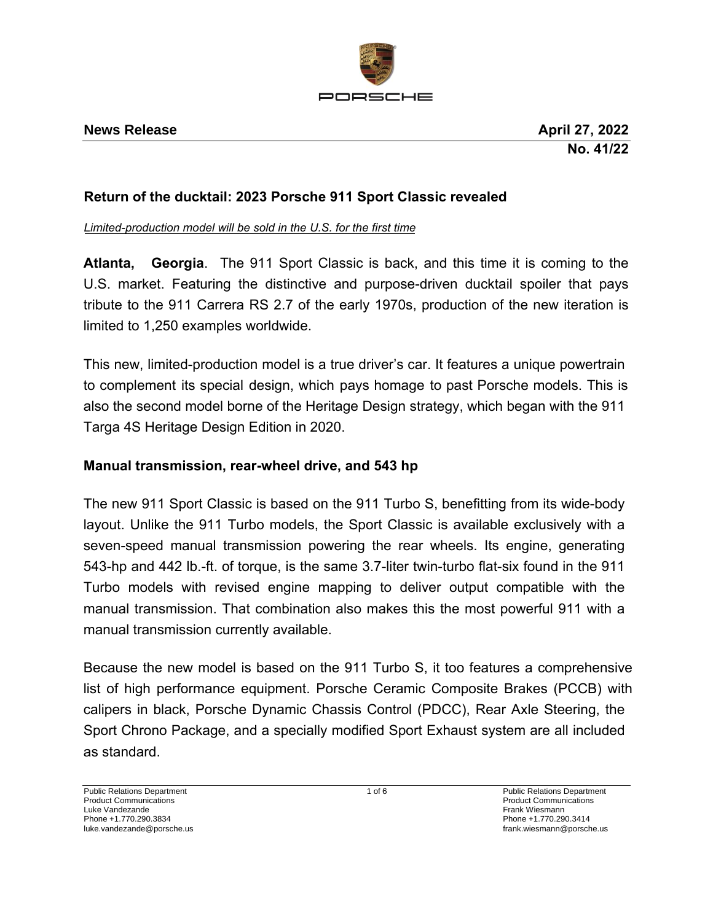

# **Return of the ducktail: 2023 Porsche 911 Sport Classic revealed**

*Limited-production model will be sold in the U.S. for the first time*

**Atlanta, Georgia**. The 911 Sport Classic is back, and this time it is coming to the U.S. market. Featuring the distinctive and purpose-driven ducktail spoiler that pays tribute to the 911 Carrera RS 2.7 of the early 1970s, production of the new iteration is limited to 1,250 examples worldwide.

This new, limited-production model is a true driver's car. It features a unique powertrain to complement its special design, which pays homage to past Porsche models. This is also the second model borne of the Heritage Design strategy, which began with the 911 Targa 4S Heritage Design Edition in 2020.

# **Manual transmission, rear-wheel drive, and 543 hp**

The new 911 Sport Classic is based on the 911 Turbo S, benefitting from its wide-body layout. Unlike the 911 Turbo models, the Sport Classic is available exclusively with a seven-speed manual transmission powering the rear wheels. Its engine, generating 543-hp and 442 lb.-ft. of torque, is the same 3.7-liter twin-turbo flat-six found in the 911 Turbo models with revised engine mapping to deliver output compatible with the manual transmission. That combination also makes this the most powerful 911 with a manual transmission currently available.

Because the new model is based on the 911 Turbo S, it too features a comprehensive list of high performance equipment. Porsche Ceramic Composite Brakes (PCCB) with calipers in black, Porsche Dynamic Chassis Control (PDCC), Rear Axle Steering, the Sport Chrono Package, and a specially modified Sport Exhaust system are all included as standard.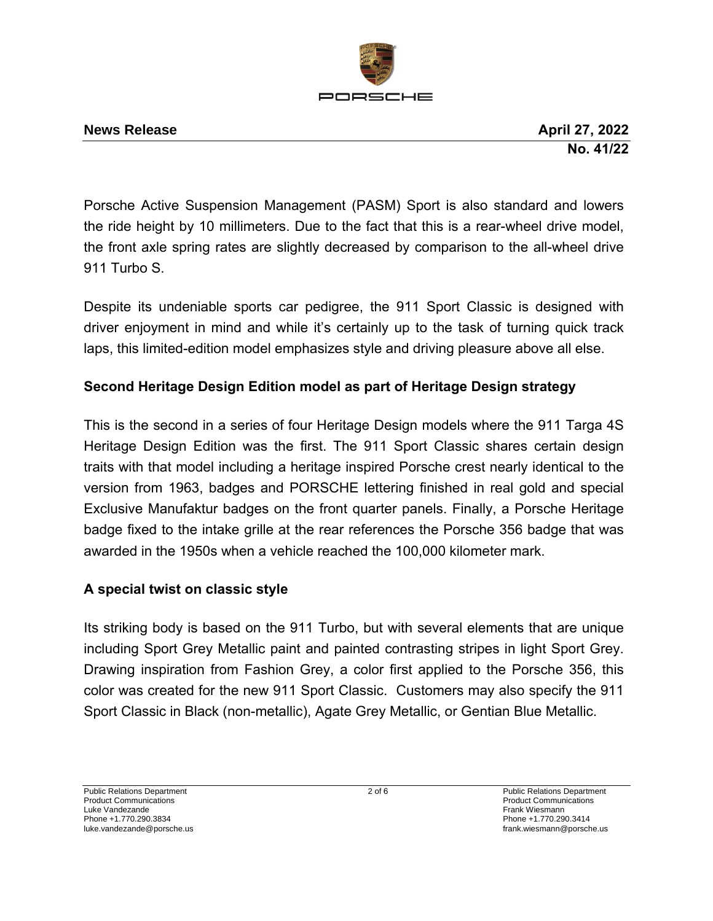

Porsche Active Suspension Management (PASM) Sport is also standard and lowers the ride height by 10 millimeters. Due to the fact that this is a rear-wheel drive model, the front axle spring rates are slightly decreased by comparison to the all-wheel drive 911 Turbo S.

Despite its undeniable sports car pedigree, the 911 Sport Classic is designed with driver enjoyment in mind and while it's certainly up to the task of turning quick track laps, this limited-edition model emphasizes style and driving pleasure above all else.

# **Second Heritage Design Edition model as part of Heritage Design strategy**

This is the second in a series of four Heritage Design models where the 911 Targa 4S Heritage Design Edition was the first. The 911 Sport Classic shares certain design traits with that model including a heritage inspired Porsche crest nearly identical to the version from 1963, badges and PORSCHE lettering finished in real gold and special Exclusive Manufaktur badges on the front quarter panels. Finally, a Porsche Heritage badge fixed to the intake grille at the rear references the Porsche 356 badge that was awarded in the 1950s when a vehicle reached the 100,000 kilometer mark.

# **A special twist on classic style**

Its striking body is based on the 911 Turbo, but with several elements that are unique including Sport Grey Metallic paint and painted contrasting stripes in light Sport Grey. Drawing inspiration from Fashion Grey, a color first applied to the Porsche 356, this color was created for the new 911 Sport Classic. Customers may also specify the 911 Sport Classic in Black (non-metallic), Agate Grey Metallic, or Gentian Blue Metallic.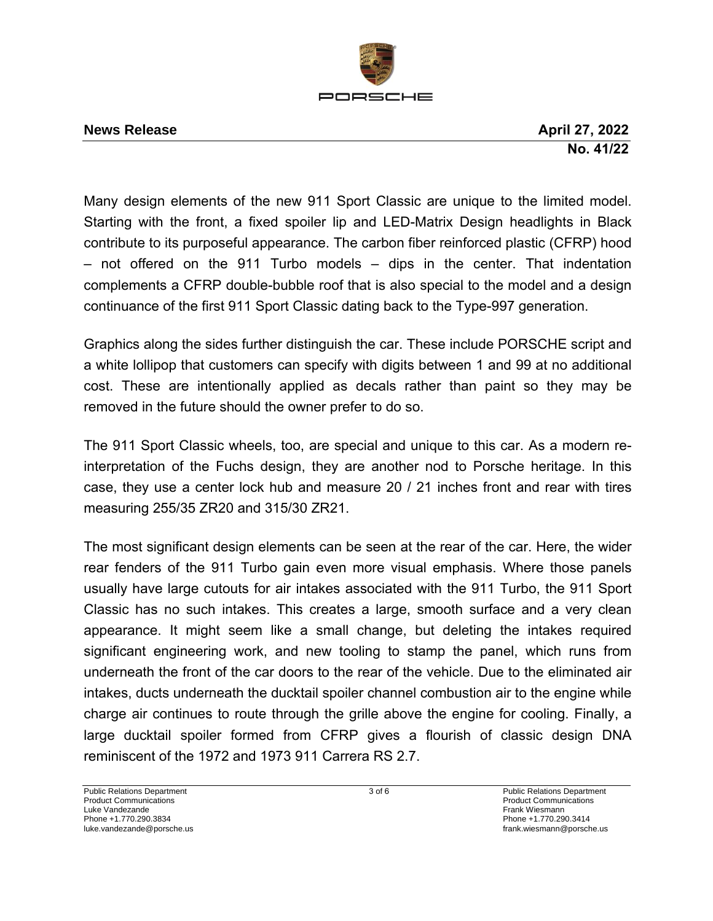

Many design elements of the new 911 Sport Classic are unique to the limited model. Starting with the front, a fixed spoiler lip and LED-Matrix Design headlights in Black contribute to its purposeful appearance. The carbon fiber reinforced plastic (CFRP) hood – not offered on the 911 Turbo models – dips in the center. That indentation complements a CFRP double-bubble roof that is also special to the model and a design continuance of the first 911 Sport Classic dating back to the Type-997 generation.

Graphics along the sides further distinguish the car. These include PORSCHE script and a white lollipop that customers can specify with digits between 1 and 99 at no additional cost. These are intentionally applied as decals rather than paint so they may be removed in the future should the owner prefer to do so.

The 911 Sport Classic wheels, too, are special and unique to this car. As a modern reinterpretation of the Fuchs design, they are another nod to Porsche heritage. In this case, they use a center lock hub and measure 20 / 21 inches front and rear with tires measuring 255/35 ZR20 and 315/30 ZR21.

The most significant design elements can be seen at the rear of the car. Here, the wider rear fenders of the 911 Turbo gain even more visual emphasis. Where those panels usually have large cutouts for air intakes associated with the 911 Turbo, the 911 Sport Classic has no such intakes. This creates a large, smooth surface and a very clean appearance. It might seem like a small change, but deleting the intakes required significant engineering work, and new tooling to stamp the panel, which runs from underneath the front of the car doors to the rear of the vehicle. Due to the eliminated air intakes, ducts underneath the ducktail spoiler channel combustion air to the engine while charge air continues to route through the grille above the engine for cooling. Finally, a large ducktail spoiler formed from CFRP gives a flourish of classic design DNA reminiscent of the 1972 and 1973 911 Carrera RS 2.7.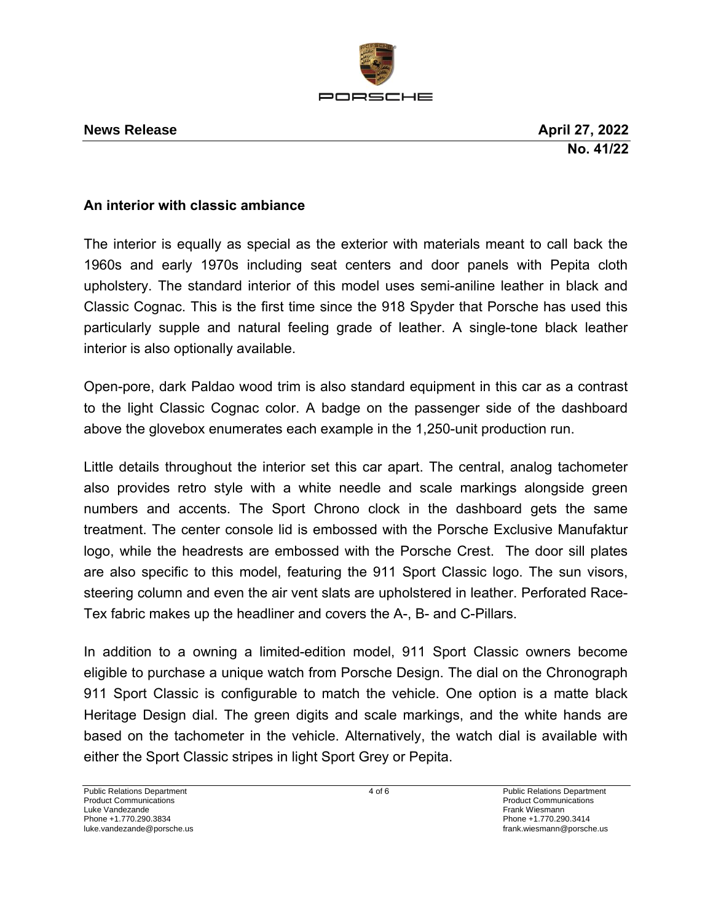

### **An interior with classic ambiance**

The interior is equally as special as the exterior with materials meant to call back the 1960s and early 1970s including seat centers and door panels with Pepita cloth upholstery. The standard interior of this model uses semi-aniline leather in black and Classic Cognac. This is the first time since the 918 Spyder that Porsche has used this particularly supple and natural feeling grade of leather. A single-tone black leather interior is also optionally available.

Open-pore, dark Paldao wood trim is also standard equipment in this car as a contrast to the light Classic Cognac color. A badge on the passenger side of the dashboard above the glovebox enumerates each example in the 1,250-unit production run.

Little details throughout the interior set this car apart. The central, analog tachometer also provides retro style with a white needle and scale markings alongside green numbers and accents. The Sport Chrono clock in the dashboard gets the same treatment. The center console lid is embossed with the Porsche Exclusive Manufaktur logo, while the headrests are embossed with the Porsche Crest. The door sill plates are also specific to this model, featuring the 911 Sport Classic logo. The sun visors, steering column and even the air vent slats are upholstered in leather. Perforated Race-Tex fabric makes up the headliner and covers the A-, B- and C-Pillars.

In addition to a owning a limited-edition model, 911 Sport Classic owners become eligible to purchase a unique watch from Porsche Design. The dial on the Chronograph 911 Sport Classic is configurable to match the vehicle. One option is a matte black Heritage Design dial. The green digits and scale markings, and the white hands are based on the tachometer in the vehicle. Alternatively, the watch dial is available with either the Sport Classic stripes in light Sport Grey or Pepita.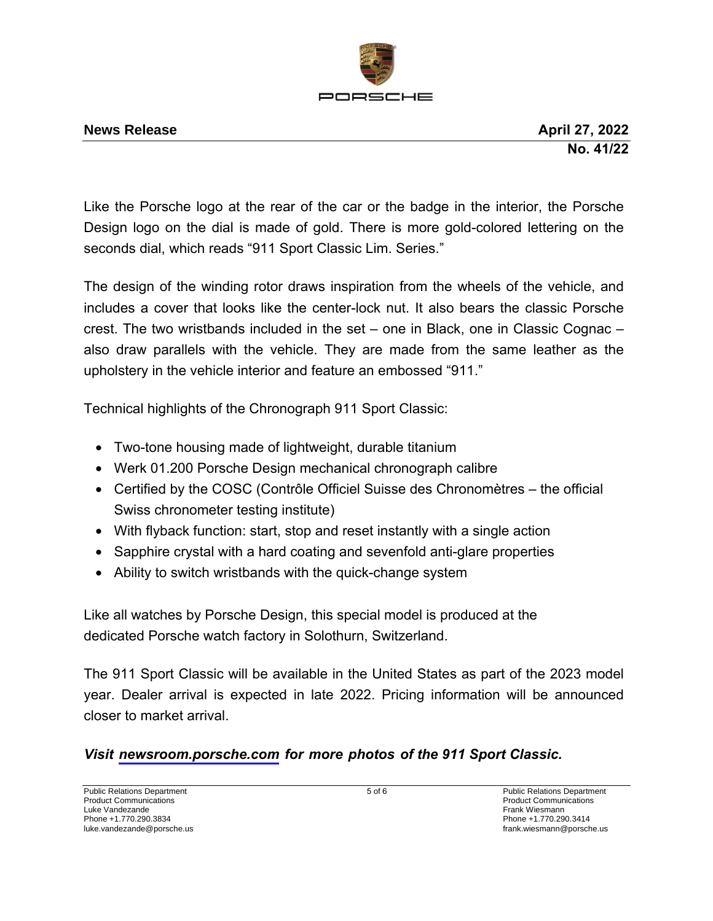

#### **News Release April 27, 2022**

Like the Porsche logo at the rear of the car or the badge in the interior, the Porsche Design logo on the dial is made of gold. There is more gold-colored lettering on the seconds dial, which reads "911 Sport Classic Lim. Series."

The design of the winding rotor draws inspiration from the wheels of the vehicle, and includes a cover that looks like the center-lock nut. It also bears the classic Porsche crest. The two wristbands included in the set – one in Black, one in Classic Cognac – also draw parallels with the vehicle. They are made from the same leather as the upholstery in the vehicle interior and feature an embossed "911."

Technical highlights of the Chronograph 911 Sport Classic:

- Two-tone housing made of lightweight, durable titanium
- Werk 01.200 Porsche Design mechanical chronograph calibre
- Certified by the COSC (Contrôle Officiel Suisse des Chronomètres the official Swiss chronometer testing institute)
- With flyback function: start, stop and reset instantly with a single action
- Sapphire crystal with a hard coating and sevenfold anti-glare properties
- Ability to switch wristbands with the quick-change system

Like all watches by Porsche Design, this special model is produced at the dedicated Porsche watch factory in Solothurn, Switzerland.

The 911 Sport Classic will be available in the United States as part of the 2023 model year. Dealer arrival is expected in late 2022. Pricing information will be announced closer to market arrival.

# *Visit [newsroom.porsche.com](https://newsroom.porsche.com/en_US.html) for more photos of the 911 Sport Classic.*